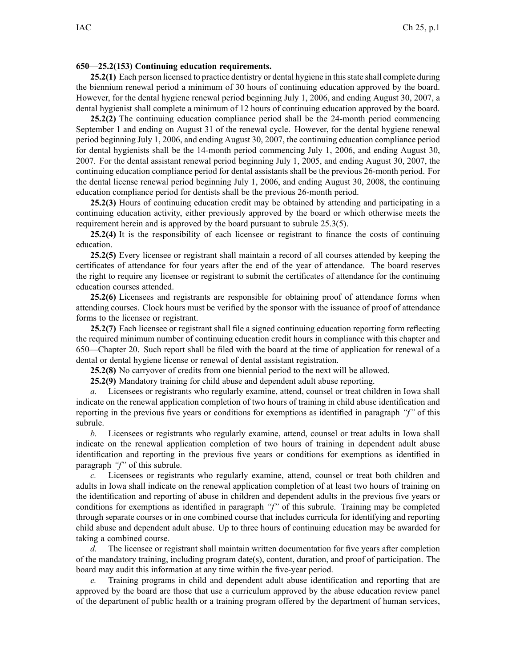## **650—25.2(153) Continuing education requirements.**

**25.2(1)** Each person licensed to practice dentistry or dental hygiene in this state shall complete during the biennium renewal period <sup>a</sup> minimum of 30 hours of continuing education approved by the board. However, for the dental hygiene renewal period beginning July 1, 2006, and ending August 30, 2007, <sup>a</sup> dental hygienist shall complete <sup>a</sup> minimum of 12 hours of continuing education approved by the board.

**25.2(2)** The continuing education compliance period shall be the 24-month period commencing September 1 and ending on August 31 of the renewal cycle. However, for the dental hygiene renewal period beginning July 1, 2006, and ending August 30, 2007, the continuing education compliance period for dental hygienists shall be the 14-month period commencing July 1, 2006, and ending August 30, 2007. For the dental assistant renewal period beginning July 1, 2005, and ending August 30, 2007, the continuing education compliance period for dental assistants shall be the previous 26-month period. For the dental license renewal period beginning July 1, 2006, and ending August 30, 2008, the continuing education compliance period for dentists shall be the previous 26-month period.

**25.2(3)** Hours of continuing education credit may be obtained by attending and participating in <sup>a</sup> continuing education activity, either previously approved by the board or which otherwise meets the requirement herein and is approved by the board pursuan<sup>t</sup> to subrule 25.3(5).

**25.2(4)** It is the responsibility of each licensee or registrant to finance the costs of continuing education.

**25.2(5)** Every licensee or registrant shall maintain <sup>a</sup> record of all courses attended by keeping the certificates of attendance for four years after the end of the year of attendance. The board reserves the right to require any licensee or registrant to submit the certificates of attendance for the continuing education courses attended.

**25.2(6)** Licensees and registrants are responsible for obtaining proof of attendance forms when attending courses. Clock hours must be verified by the sponsor with the issuance of proof of attendance forms to the licensee or registrant.

**25.2(7)** Each licensee or registrant shall file <sup>a</sup> signed continuing education reporting form reflecting the required minimum number of continuing education credit hours in compliance with this chapter and 650—Chapter 20. Such repor<sup>t</sup> shall be filed with the board at the time of application for renewal of <sup>a</sup> dental or dental hygiene license or renewal of dental assistant registration.

**25.2(8)** No carryover of credits from one biennial period to the next will be allowed.

**25.2(9)** Mandatory training for child abuse and dependent adult abuse reporting.

*a.* Licensees or registrants who regularly examine, attend, counsel or treat children in Iowa shall indicate on the renewal application completion of two hours of training in child abuse identification and reporting in the previous five years or conditions for exemptions as identified in paragraph *"f"* of this subrule.

*b.* Licensees or registrants who regularly examine, attend, counsel or treat adults in Iowa shall indicate on the renewal application completion of two hours of training in dependent adult abuse identification and reporting in the previous five years or conditions for exemptions as identified in paragraph *"f"* of this subrule.

*c.* Licensees or registrants who regularly examine, attend, counsel or treat both children and adults in Iowa shall indicate on the renewal application completion of at least two hours of training on the identification and reporting of abuse in children and dependent adults in the previous five years or conditions for exemptions as identified in paragraph *"f"* of this subrule. Training may be completed through separate courses or in one combined course that includes curricula for identifying and reporting child abuse and dependent adult abuse. Up to three hours of continuing education may be awarded for taking <sup>a</sup> combined course.

*d.* The licensee or registrant shall maintain written documentation for five years after completion of the mandatory training, including program date(s), content, duration, and proof of participation. The board may audit this information at any time within the five-year period.

*e.* Training programs in child and dependent adult abuse identification and reporting that are approved by the board are those that use <sup>a</sup> curriculum approved by the abuse education review panel of the department of public health or <sup>a</sup> training program offered by the department of human services,